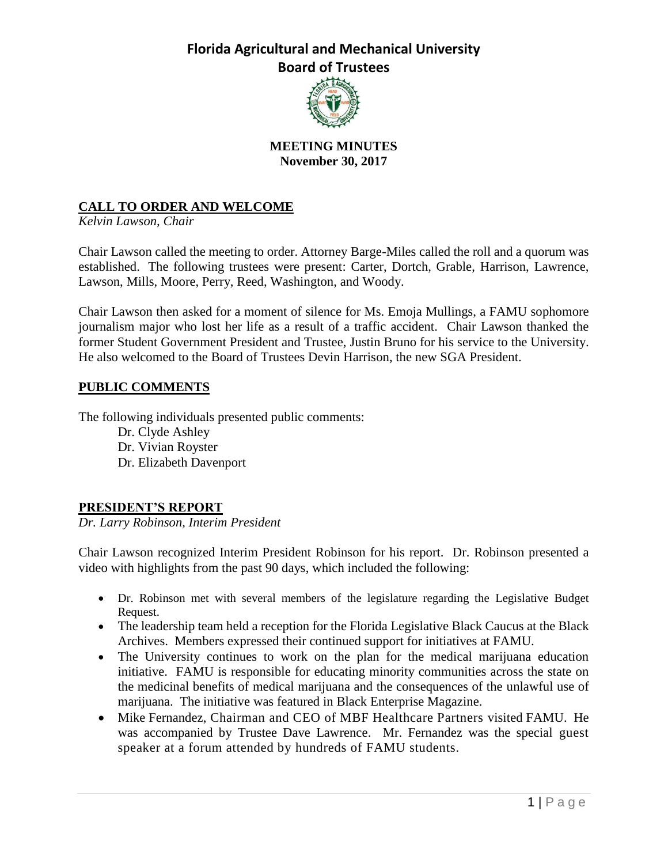

## **MEETING MINUTES November 30, 2017**

# **CALL TO ORDER AND WELCOME**

*Kelvin Lawson, Chair*

Chair Lawson called the meeting to order. Attorney Barge-Miles called the roll and a quorum was established. The following trustees were present: Carter, Dortch, Grable, Harrison, Lawrence, Lawson, Mills, Moore, Perry, Reed, Washington, and Woody.

Chair Lawson then asked for a moment of silence for Ms. Emoja Mullings, a FAMU sophomore journalism major who lost her life as a result of a traffic accident. Chair Lawson thanked the former Student Government President and Trustee, Justin Bruno for his service to the University. He also welcomed to the Board of Trustees Devin Harrison, the new SGA President.

## **PUBLIC COMMENTS**

The following individuals presented public comments:

Dr. Clyde Ashley Dr. Vivian Royster Dr. Elizabeth Davenport

## **PRESIDENT'S REPORT**

*Dr. Larry Robinson, Interim President*

Chair Lawson recognized Interim President Robinson for his report. Dr. Robinson presented a video with highlights from the past 90 days, which included the following:

- Dr. Robinson met with several members of the legislature regarding the Legislative Budget Request.
- The leadership team held a reception for the Florida Legislative Black Caucus at the Black Archives. Members expressed their continued support for initiatives at FAMU.
- The University continues to work on the plan for the medical marijuana education initiative. FAMU is responsible for educating minority communities across the state on the medicinal benefits of medical marijuana and the consequences of the unlawful use of marijuana. The initiative was featured in Black Enterprise Magazine.
- Mike Fernandez, Chairman and CEO of MBF Healthcare Partners visited FAMU. He was accompanied by Trustee Dave Lawrence. Mr. Fernandez was the special guest speaker at a forum attended by hundreds of FAMU students.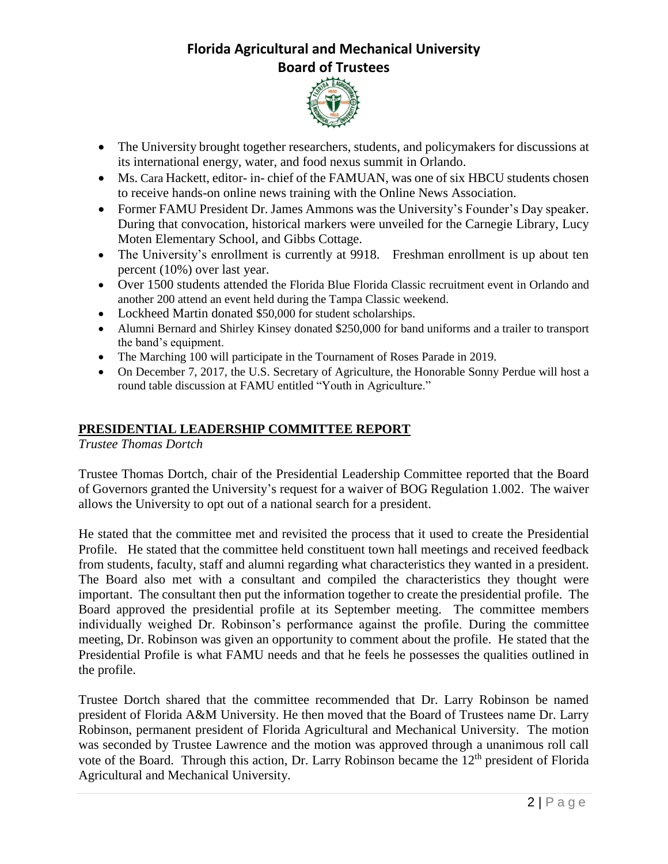

- The University brought together researchers, students, and policymakers for discussions at its international energy, water, and food nexus summit in Orlando.
- Ms. Cara Hackett, editor- in- chief of the FAMUAN, was one of six HBCU students chosen to receive hands-on online news training with the Online News Association.
- Former FAMU President Dr. James Ammons was the University's Founder's Day speaker. During that convocation, historical markers were unveiled for the Carnegie Library, Lucy Moten Elementary School, and Gibbs Cottage.
- The University's enrollment is currently at 9918. Freshman enrollment is up about ten percent (10%) over last year.
- Over 1500 students attended the Florida Blue Florida Classic recruitment event in Orlando and another 200 attend an event held during the Tampa Classic weekend.
- Lockheed Martin donated \$50,000 for student scholarships.
- Alumni Bernard and Shirley Kinsey donated \$250,000 for band uniforms and a trailer to transport the band's equipment.
- The Marching 100 will participate in the Tournament of Roses Parade in 2019.
- On December 7, 2017, the U.S. Secretary of Agriculture, the Honorable Sonny Perdue will host a round table discussion at FAMU entitled "Youth in Agriculture."

## **PRESIDENTIAL LEADERSHIP COMMITTEE REPORT**

*Trustee Thomas Dortch*

Trustee Thomas Dortch, chair of the Presidential Leadership Committee reported that the Board of Governors granted the University's request for a waiver of BOG Regulation 1.002. The waiver allows the University to opt out of a national search for a president.

He stated that the committee met and revisited the process that it used to create the Presidential Profile. He stated that the committee held constituent town hall meetings and received feedback from students, faculty, staff and alumni regarding what characteristics they wanted in a president. The Board also met with a consultant and compiled the characteristics they thought were important. The consultant then put the information together to create the presidential profile. The Board approved the presidential profile at its September meeting. The committee members individually weighed Dr. Robinson's performance against the profile. During the committee meeting, Dr. Robinson was given an opportunity to comment about the profile. He stated that the Presidential Profile is what FAMU needs and that he feels he possesses the qualities outlined in the profile.

Trustee Dortch shared that the committee recommended that Dr. Larry Robinson be named president of Florida A&M University. He then moved that the Board of Trustees name Dr. Larry Robinson, permanent president of Florida Agricultural and Mechanical University. The motion was seconded by Trustee Lawrence and the motion was approved through a unanimous roll call vote of the Board. Through this action, Dr. Larry Robinson became the  $12<sup>th</sup>$  president of Florida Agricultural and Mechanical University.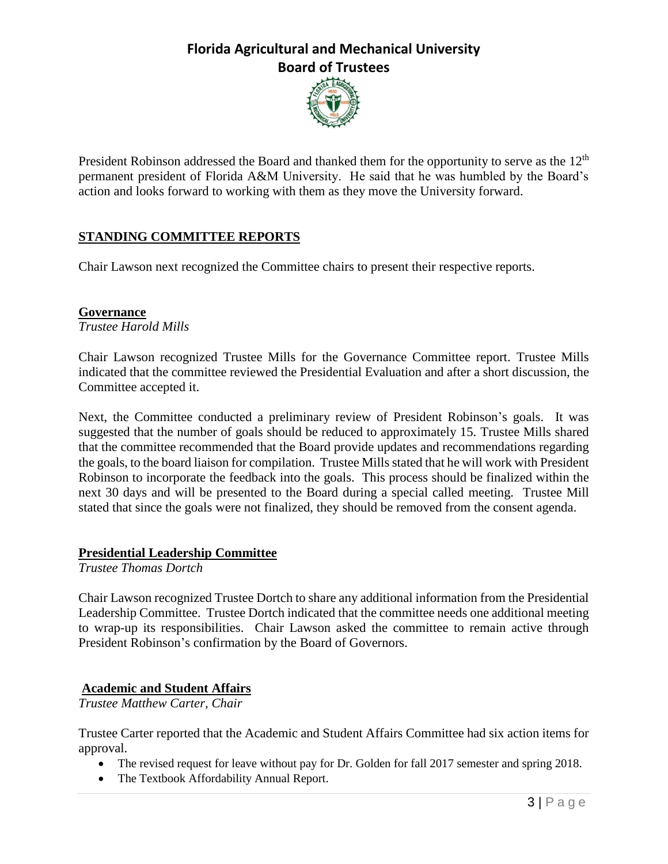

President Robinson addressed the Board and thanked them for the opportunity to serve as the 12<sup>th</sup> permanent president of Florida A&M University. He said that he was humbled by the Board's action and looks forward to working with them as they move the University forward.

## **STANDING COMMITTEE REPORTS**

Chair Lawson next recognized the Committee chairs to present their respective reports.

### **Governance**

*Trustee Harold Mills*

Chair Lawson recognized Trustee Mills for the Governance Committee report. Trustee Mills indicated that the committee reviewed the Presidential Evaluation and after a short discussion, the Committee accepted it.

Next, the Committee conducted a preliminary review of President Robinson's goals. It was suggested that the number of goals should be reduced to approximately 15. Trustee Mills shared that the committee recommended that the Board provide updates and recommendations regarding the goals, to the board liaison for compilation. Trustee Mills stated that he will work with President Robinson to incorporate the feedback into the goals. This process should be finalized within the next 30 days and will be presented to the Board during a special called meeting. Trustee Mill stated that since the goals were not finalized, they should be removed from the consent agenda.

### **Presidential Leadership Committee**

*Trustee Thomas Dortch*

Chair Lawson recognized Trustee Dortch to share any additional information from the Presidential Leadership Committee. Trustee Dortch indicated that the committee needs one additional meeting to wrap-up its responsibilities. Chair Lawson asked the committee to remain active through President Robinson's confirmation by the Board of Governors.

### **Academic and Student Affairs**

*Trustee Matthew Carter, Chair*

Trustee Carter reported that the Academic and Student Affairs Committee had six action items for approval.

- The revised request for leave without pay for Dr. Golden for fall 2017 semester and spring 2018.
- The Textbook Affordability Annual Report.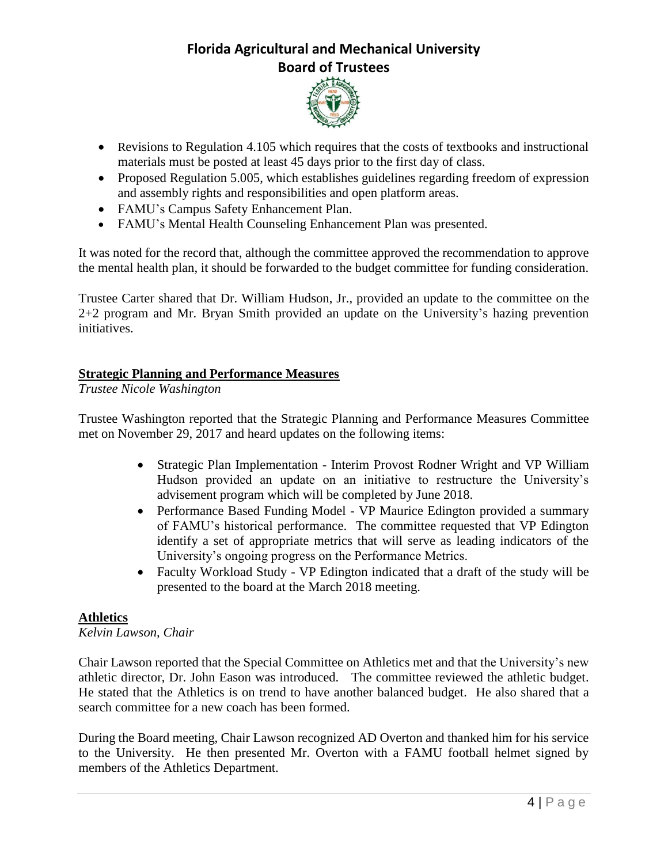

- Revisions to Regulation 4.105 which requires that the costs of textbooks and instructional materials must be posted at least 45 days prior to the first day of class.
- Proposed Regulation 5.005, which establishes guidelines regarding freedom of expression and assembly rights and responsibilities and open platform areas.
- FAMU's Campus Safety Enhancement Plan.
- FAMU's Mental Health Counseling Enhancement Plan was presented.

It was noted for the record that, although the committee approved the recommendation to approve the mental health plan, it should be forwarded to the budget committee for funding consideration.

Trustee Carter shared that Dr. William Hudson, Jr., provided an update to the committee on the 2+2 program and Mr. Bryan Smith provided an update on the University's hazing prevention initiatives.

## **Strategic Planning and Performance Measures**

*Trustee Nicole Washington*

Trustee Washington reported that the Strategic Planning and Performance Measures Committee met on November 29, 2017 and heard updates on the following items:

- Strategic Plan Implementation Interim Provost Rodner Wright and VP William Hudson provided an update on an initiative to restructure the University's advisement program which will be completed by June 2018.
- Performance Based Funding Model VP Maurice Edington provided a summary of FAMU's historical performance. The committee requested that VP Edington identify a set of appropriate metrics that will serve as leading indicators of the University's ongoing progress on the Performance Metrics.
- Faculty Workload Study VP Edington indicated that a draft of the study will be presented to the board at the March 2018 meeting.

### **Athletics**

### *Kelvin Lawson, Chair*

Chair Lawson reported that the Special Committee on Athletics met and that the University's new athletic director, Dr. John Eason was introduced. The committee reviewed the athletic budget. He stated that the Athletics is on trend to have another balanced budget. He also shared that a search committee for a new coach has been formed.

During the Board meeting, Chair Lawson recognized AD Overton and thanked him for his service to the University. He then presented Mr. Overton with a FAMU football helmet signed by members of the Athletics Department.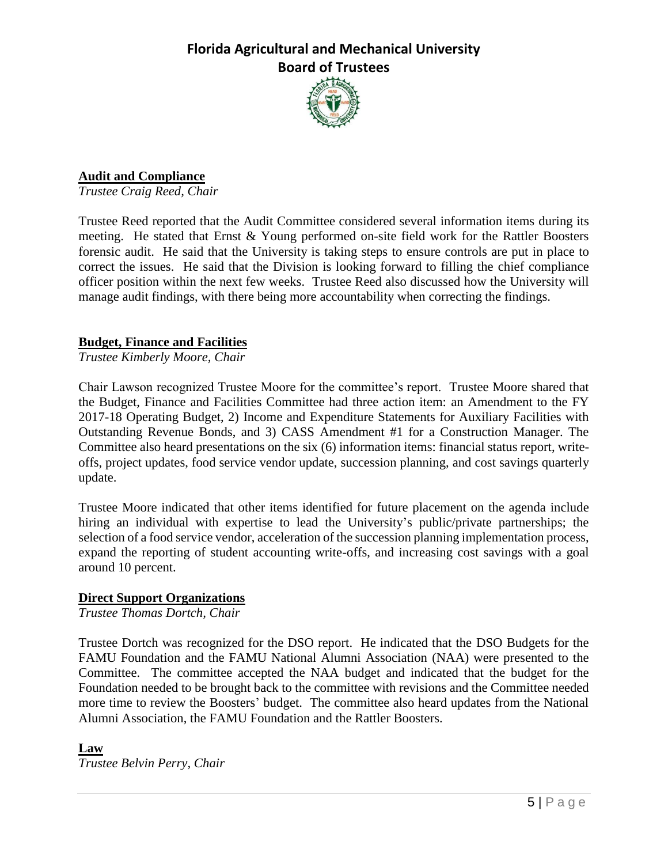

## **Audit and Compliance**

*Trustee Craig Reed, Chair*

Trustee Reed reported that the Audit Committee considered several information items during its meeting. He stated that Ernst & Young performed on-site field work for the Rattler Boosters forensic audit. He said that the University is taking steps to ensure controls are put in place to correct the issues. He said that the Division is looking forward to filling the chief compliance officer position within the next few weeks. Trustee Reed also discussed how the University will manage audit findings, with there being more accountability when correcting the findings.

### **Budget, Finance and Facilities**

*Trustee Kimberly Moore, Chair*

Chair Lawson recognized Trustee Moore for the committee's report. Trustee Moore shared that the Budget, Finance and Facilities Committee had three action item: an Amendment to the FY 2017-18 Operating Budget, 2) Income and Expenditure Statements for Auxiliary Facilities with Outstanding Revenue Bonds, and 3) CASS Amendment #1 for a Construction Manager. The Committee also heard presentations on the six (6) information items: financial status report, writeoffs, project updates, food service vendor update, succession planning, and cost savings quarterly update.

Trustee Moore indicated that other items identified for future placement on the agenda include hiring an individual with expertise to lead the University's public/private partnerships; the selection of a food service vendor, acceleration of the succession planning implementation process, expand the reporting of student accounting write-offs, and increasing cost savings with a goal around 10 percent.

#### **Direct Support Organizations**

*Trustee Thomas Dortch, Chair*

Trustee Dortch was recognized for the DSO report. He indicated that the DSO Budgets for the FAMU Foundation and the FAMU National Alumni Association (NAA) were presented to the Committee. The committee accepted the NAA budget and indicated that the budget for the Foundation needed to be brought back to the committee with revisions and the Committee needed more time to review the Boosters' budget. The committee also heard updates from the National Alumni Association, the FAMU Foundation and the Rattler Boosters.

#### **Law**

*Trustee Belvin Perry, Chair*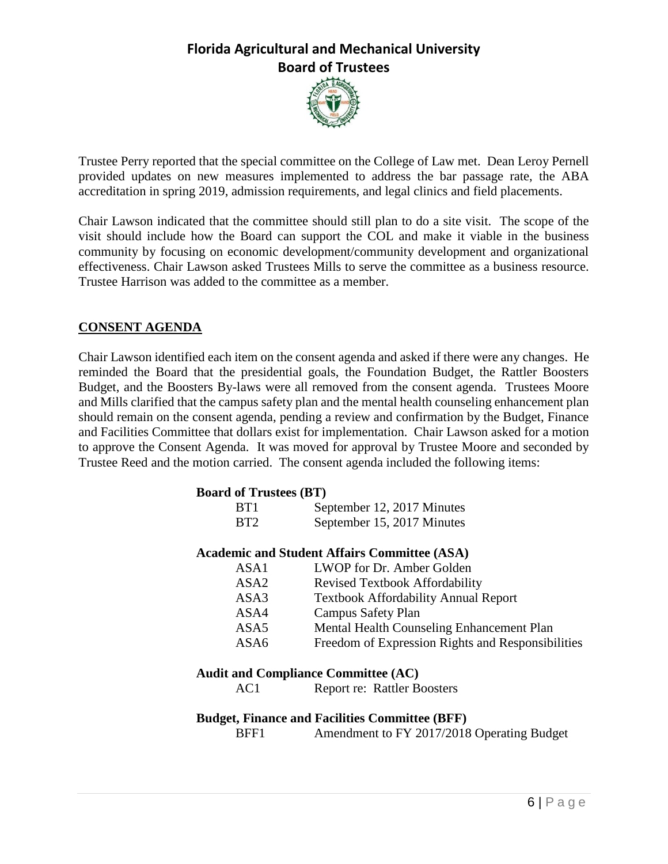

Trustee Perry reported that the special committee on the College of Law met. Dean Leroy Pernell provided updates on new measures implemented to address the bar passage rate, the ABA accreditation in spring 2019, admission requirements, and legal clinics and field placements.

Chair Lawson indicated that the committee should still plan to do a site visit. The scope of the visit should include how the Board can support the COL and make it viable in the business community by focusing on economic development/community development and organizational effectiveness. Chair Lawson asked Trustees Mills to serve the committee as a business resource. Trustee Harrison was added to the committee as a member.

## **CONSENT AGENDA**

Chair Lawson identified each item on the consent agenda and asked if there were any changes. He reminded the Board that the presidential goals, the Foundation Budget, the Rattler Boosters Budget, and the Boosters By-laws were all removed from the consent agenda. Trustees Moore and Mills clarified that the campus safety plan and the mental health counseling enhancement plan should remain on the consent agenda, pending a review and confirmation by the Budget, Finance and Facilities Committee that dollars exist for implementation. Chair Lawson asked for a motion to approve the Consent Agenda. It was moved for approval by Trustee Moore and seconded by Trustee Reed and the motion carried. The consent agenda included the following items:

#### **Board of Trustees (BT)**

| BT <sub>1</sub> | September 12, 2017 Minutes |
|-----------------|----------------------------|
| BT <sub>2</sub> | September 15, 2017 Minutes |

#### **Academic and Student Affairs Committee (ASA)**

| ASA1             | LWOP for Dr. Amber Golden                         |
|------------------|---------------------------------------------------|
| ASA <sub>2</sub> | <b>Revised Textbook Affordability</b>             |
| ASA3             | <b>Textbook Affordability Annual Report</b>       |
| ASA4             | Campus Safety Plan                                |
| ASA <sub>5</sub> | Mental Health Counseling Enhancement Plan         |
| ASA6             | Freedom of Expression Rights and Responsibilities |

### **Audit and Compliance Committee (AC)**

AC1 Report re: Rattler Boosters

### **Budget, Finance and Facilities Committee (BFF)**

BFF1 Amendment to FY 2017/2018 Operating Budget